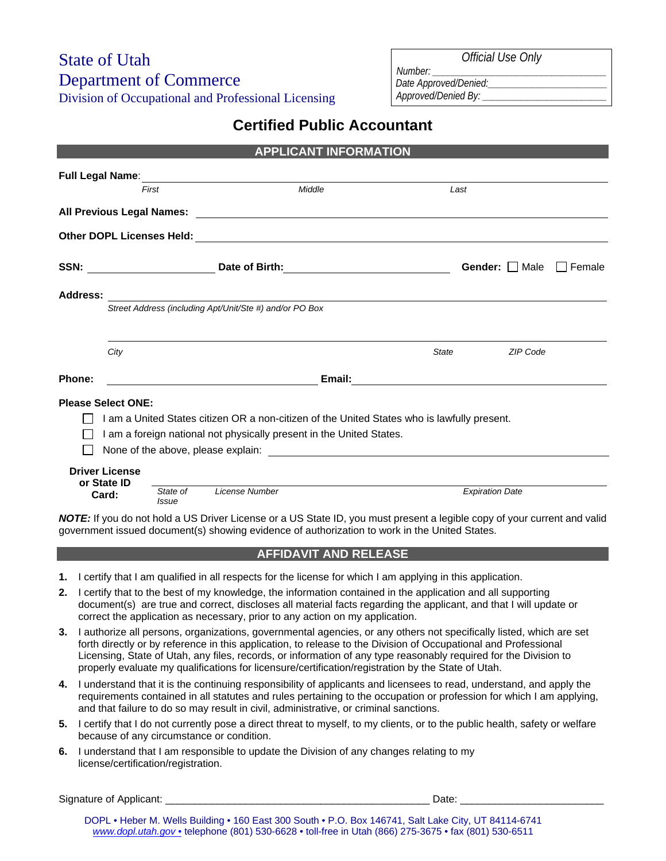# State of Utah Department of Commerce

Division of Occupational and Professional Licensing

 *Official Use Only* 

*Date Approved/Denied:\_\_\_\_\_\_\_\_\_\_\_\_\_\_\_\_\_\_\_\_\_\_\_\_ Approved/Denied By: \_\_\_\_\_\_\_\_\_\_\_\_\_\_\_\_\_\_\_\_\_\_\_\_\_*

*Number: \_\_\_\_\_\_\_\_\_\_\_\_\_\_\_\_\_\_\_\_\_\_\_\_\_\_\_\_\_\_\_\_\_\_\_* 

# **Certified Public Accountant**

|                         | <b>APPLICANT INFORMATION</b>                            |          |                                                                                             |              |                        |                 |                                    |  |
|-------------------------|---------------------------------------------------------|----------|---------------------------------------------------------------------------------------------|--------------|------------------------|-----------------|------------------------------------|--|
| <b>Full Legal Name:</b> |                                                         |          | <u> 1989 - Johann Barnett, fransk politiker (d. 1989)</u>                                   |              |                        |                 |                                    |  |
|                         | First                                                   |          | Middle                                                                                      |              | Last                   |                 |                                    |  |
|                         |                                                         |          |                                                                                             |              |                        |                 |                                    |  |
|                         |                                                         |          |                                                                                             |              |                        |                 |                                    |  |
|                         |                                                         |          |                                                                                             |              |                        |                 | <b>Gender:</b>     Male     Female |  |
| <b>Address:</b>         |                                                         |          |                                                                                             |              |                        |                 |                                    |  |
|                         | Street Address (including Apt/Unit/Ste #) and/or PO Box |          |                                                                                             |              |                        |                 |                                    |  |
|                         |                                                         |          |                                                                                             |              |                        |                 |                                    |  |
|                         | City                                                    |          |                                                                                             | <b>State</b> |                        | <b>ZIP Code</b> |                                    |  |
| Phone:                  |                                                         |          |                                                                                             |              |                        |                 |                                    |  |
|                         | <b>Please Select ONE:</b>                               |          |                                                                                             |              |                        |                 |                                    |  |
|                         |                                                         |          | I am a United States citizen OR a non-citizen of the United States who is lawfully present. |              |                        |                 |                                    |  |
|                         |                                                         |          | I am a foreign national not physically present in the United States.                        |              |                        |                 |                                    |  |
|                         |                                                         |          |                                                                                             |              |                        |                 |                                    |  |
|                         | <b>Driver License</b>                                   |          |                                                                                             |              |                        |                 |                                    |  |
|                         | or State ID                                             | State of | License Number                                                                              |              | <b>Expiration Date</b> |                 |                                    |  |
|                         | Card:                                                   | Issue    |                                                                                             |              |                        |                 |                                    |  |

*NOTE:* If you do not hold a US Driver License or a US State ID, you must present a legible copy of your current and valid government issued document(s) showing evidence of authorization to work in the United States.

## **AFFIDAVIT AND RELEASE**

- **1.** I certify that I am qualified in all respects for the license for which I am applying in this application.
- **2.** I certify that to the best of my knowledge, the information contained in the application and all supporting document(s) are true and correct, discloses all material facts regarding the applicant, and that I will update or correct the application as necessary, prior to any action on my application.
- **3.** I authorize all persons, organizations, governmental agencies, or any others not specifically listed, which are set forth directly or by reference in this application, to release to the Division of Occupational and Professional Licensing, State of Utah, any files, records, or information of any type reasonably required for the Division to properly evaluate my qualifications for licensure/certification/registration by the State of Utah.
- **4.** I understand that it is the continuing responsibility of applicants and licensees to read, understand, and apply the requirements contained in all statutes and rules pertaining to the occupation or profession for which I am applying, and that failure to do so may result in civil, administrative, or criminal sanctions.
- **5.** I certify that I do not currently pose a direct threat to myself, to my clients, or to the public health, safety or welfare because of any circumstance or condition.
- **6.** I understand that I am responsible to update the Division of any changes relating to my license/certification/registration.

Signature of Applicant: \_\_\_\_\_\_\_\_\_\_\_\_\_\_\_\_\_\_\_\_\_\_\_\_\_\_\_\_\_\_\_\_\_\_\_\_\_\_\_\_\_\_\_\_\_\_ Date: \_\_\_\_\_\_\_\_\_\_\_\_\_\_\_\_\_\_\_\_\_\_\_\_\_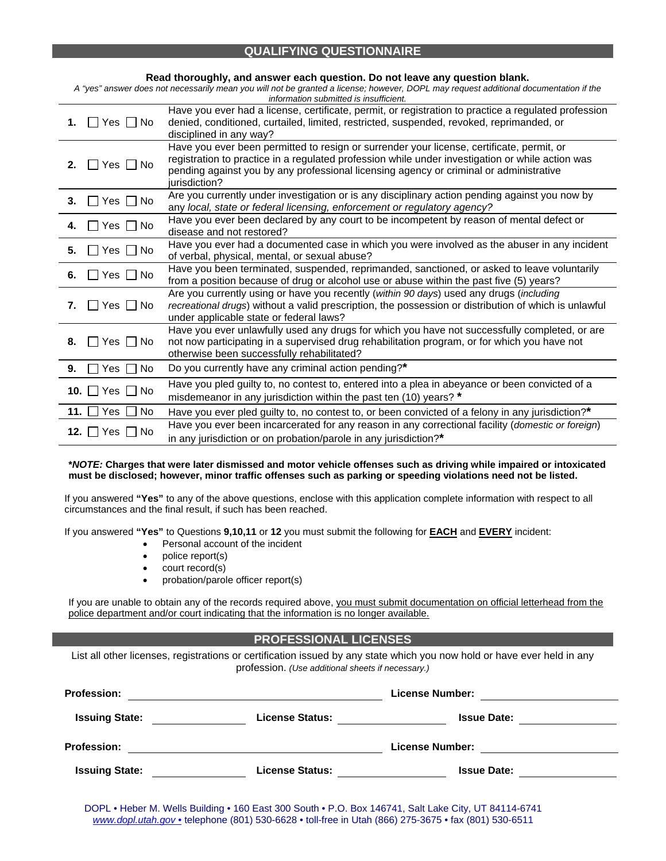### **QUALIFYING QUESTIONNAIRE**

| Read thoroughly, and answer each question. Do not leave any question blank.<br>A "yes" answer does not necessarily mean you will not be granted a license; however, DOPL may request additional documentation if the<br>information submitted is insufficient. |                                                                                                                                                                                                                                                                                                          |  |  |  |
|----------------------------------------------------------------------------------------------------------------------------------------------------------------------------------------------------------------------------------------------------------------|----------------------------------------------------------------------------------------------------------------------------------------------------------------------------------------------------------------------------------------------------------------------------------------------------------|--|--|--|
| ∐ Yes □ No<br>1.                                                                                                                                                                                                                                               | Have you ever had a license, certificate, permit, or registration to practice a regulated profession<br>denied, conditioned, curtailed, limited, restricted, suspended, revoked, reprimanded, or<br>disciplined in any way?                                                                              |  |  |  |
| $\Box$ Yes $\Box$ No<br>2.                                                                                                                                                                                                                                     | Have you ever been permitted to resign or surrender your license, certificate, permit, or<br>registration to practice in a regulated profession while under investigation or while action was<br>pending against you by any professional licensing agency or criminal or administrative<br>iurisdiction? |  |  |  |
| $\Box$ Yes $\Box$ No<br>3.                                                                                                                                                                                                                                     | Are you currently under investigation or is any disciplinary action pending against you now by<br>any local, state or federal licensing, enforcement or regulatory agency?                                                                                                                               |  |  |  |
| $\Box$ Yes $\Box$ No<br>4.                                                                                                                                                                                                                                     | Have you ever been declared by any court to be incompetent by reason of mental defect or<br>disease and not restored?                                                                                                                                                                                    |  |  |  |
| $\Box$ Yes $\Box$ No<br>5.                                                                                                                                                                                                                                     | Have you ever had a documented case in which you were involved as the abuser in any incident<br>of verbal, physical, mental, or sexual abuse?                                                                                                                                                            |  |  |  |
| $\Box$ Yes $\Box$ No<br>6.                                                                                                                                                                                                                                     | Have you been terminated, suspended, reprimanded, sanctioned, or asked to leave voluntarily<br>from a position because of drug or alcohol use or abuse within the past five (5) years?                                                                                                                   |  |  |  |
| 7. $Yes \tN$                                                                                                                                                                                                                                                   | Are you currently using or have you recently (within 90 days) used any drugs (including<br>recreational drugs) without a valid prescription, the possession or distribution of which is unlawful<br>under applicable state or federal laws?                                                              |  |  |  |
| $\Box$ Yes $\Box$ No<br>8.                                                                                                                                                                                                                                     | Have you ever unlawfully used any drugs for which you have not successfully completed, or are<br>not now participating in a supervised drug rehabilitation program, or for which you have not<br>otherwise been successfully rehabilitated?                                                              |  |  |  |
| 9.<br>Yes  <br><b>No</b>                                                                                                                                                                                                                                       | Do you currently have any criminal action pending?*                                                                                                                                                                                                                                                      |  |  |  |
| 10. $\Box$ Yes $\Box$<br>l No                                                                                                                                                                                                                                  | Have you pled guilty to, no contest to, entered into a plea in abeyance or been convicted of a<br>misdemeanor in any jurisdiction within the past ten (10) years? *                                                                                                                                      |  |  |  |
| 11. l<br>Yes<br><b>No</b>                                                                                                                                                                                                                                      | Have you ever pled guilty to, no contest to, or been convicted of a felony in any jurisdiction?*                                                                                                                                                                                                         |  |  |  |
| 12. $\Box$ Yes $\Box$ No                                                                                                                                                                                                                                       | Have you ever been incarcerated for any reason in any correctional facility (domestic or foreign)<br>in any jurisdiction or on probation/parole in any jurisdiction?*                                                                                                                                    |  |  |  |

#### **\****NOTE:* **Charges that were later dismissed and motor vehicle offenses such as driving while impaired or intoxicated must be disclosed; however, minor traffic offenses such as parking or speeding violations need not be listed.**

If you answered **"Yes"** to any of the above questions, enclose with this application complete information with respect to all circumstances and the final result, if such has been reached.

If you answered **"Yes"** to Questions **9,10,11** or **12** you must submit the following for **EACH** and **EVERY** incident:

- Personal account of the incident
- police report(s)
- court record(s)
- probation/parole officer report(s)

If you are unable to obtain any of the records required above, you must submit documentation on official letterhead from the police department and/or court indicating that the information is no longer available.

### **PROFESSIONAL LICENSES**

List all other licenses, registrations or certification issued by any state which you now hold or have ever held in any profession. *(Use additional sheets if necessary.)*

| <b>Profession:</b>    |                        | <b>License Number:</b> |  |  |
|-----------------------|------------------------|------------------------|--|--|
| <b>Issuing State:</b> | <b>License Status:</b> | <b>Issue Date:</b>     |  |  |
| <b>Profession:</b>    |                        | <b>License Number:</b> |  |  |
| <b>Issuing State:</b> | <b>License Status:</b> | <b>Issue Date:</b>     |  |  |

DOPL • Heber M. Wells Building • 160 East 300 South • P.O. Box 146741, Salt Lake City, UT 84114-6741 *www.dopl.utah.gov* • telephone (801) 530-6628 • toll-free in Utah (866) 275-3675 • fax (801) 530-6511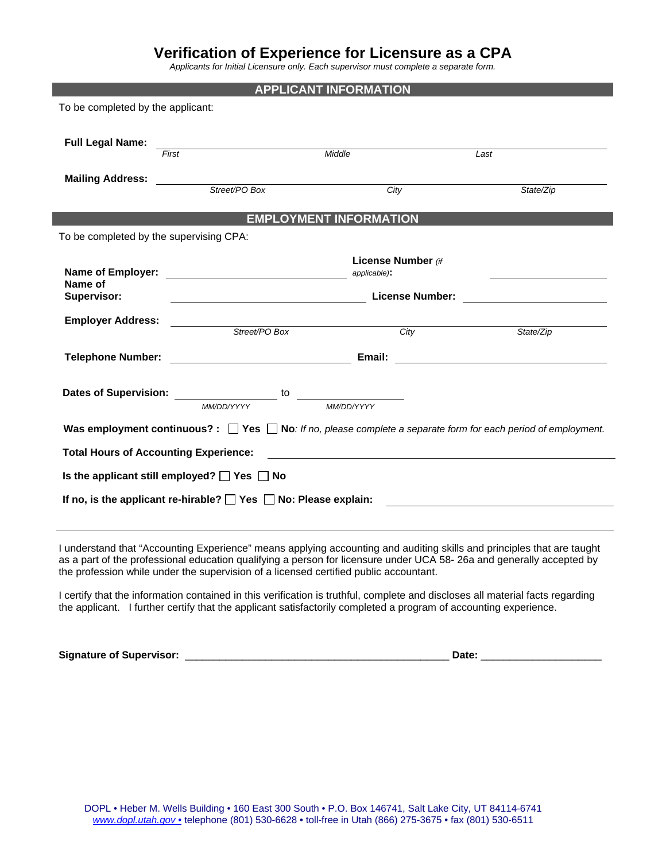# **Verification of Experience for Licensure as a CPA**

*Applicants for Initial Licensure only. Each supervisor must complete a separate form.* 

| <b>APPLICANT INFORMATION</b>                                              |                                                                                                                       |                               |                    |                                                                                                                          |  |  |
|---------------------------------------------------------------------------|-----------------------------------------------------------------------------------------------------------------------|-------------------------------|--------------------|--------------------------------------------------------------------------------------------------------------------------|--|--|
| To be completed by the applicant:                                         |                                                                                                                       |                               |                    |                                                                                                                          |  |  |
|                                                                           |                                                                                                                       |                               |                    |                                                                                                                          |  |  |
| <b>Full Legal Name:</b>                                                   |                                                                                                                       |                               |                    |                                                                                                                          |  |  |
|                                                                           | First                                                                                                                 | Middle                        |                    | Last                                                                                                                     |  |  |
| <b>Mailing Address:</b>                                                   |                                                                                                                       |                               |                    |                                                                                                                          |  |  |
|                                                                           | Street/PO Box                                                                                                         |                               | City               | State/Zip                                                                                                                |  |  |
|                                                                           |                                                                                                                       | <b>EMPLOYMENT INFORMATION</b> |                    |                                                                                                                          |  |  |
| To be completed by the supervising CPA:                                   |                                                                                                                       |                               |                    |                                                                                                                          |  |  |
|                                                                           |                                                                                                                       |                               |                    |                                                                                                                          |  |  |
| Name of Employer:                                                         |                                                                                                                       | applicable):                  | License Number (if |                                                                                                                          |  |  |
| Name of                                                                   |                                                                                                                       |                               |                    |                                                                                                                          |  |  |
| Supervisor:                                                               | <b>License Number:</b>                                                                                                |                               |                    |                                                                                                                          |  |  |
| <b>Employer Address:</b>                                                  |                                                                                                                       |                               |                    |                                                                                                                          |  |  |
|                                                                           | Street/PO Box                                                                                                         |                               | City               | State/Zip                                                                                                                |  |  |
| <b>Telephone Number:</b>                                                  | <u> 1990 - Johann Barbara, martxa a shekara 1991 - An tsaran 1991 - An tsaran 1991 - An tsaran 1991 - An tsaran 1</u> | Email:                        |                    | <u> 1989 - Johann Stein, Amerikaansk kanton (</u>                                                                        |  |  |
|                                                                           |                                                                                                                       |                               |                    |                                                                                                                          |  |  |
|                                                                           | <b>Dates of Supervision:</b> Dates of Supervision:<br>to                                                              |                               |                    |                                                                                                                          |  |  |
|                                                                           | MM/DD/YYYY                                                                                                            | MM/DD/YYYY                    |                    |                                                                                                                          |  |  |
|                                                                           |                                                                                                                       |                               |                    | Was employment continuous? : $\Box$ Yes $\Box$ No: If no, please complete a separate form for each period of employment. |  |  |
|                                                                           | <b>Total Hours of Accounting Experience:</b>                                                                          |                               |                    |                                                                                                                          |  |  |
|                                                                           |                                                                                                                       |                               |                    |                                                                                                                          |  |  |
| Is the applicant still employed? $\Box$ Yes $\Box$ No                     |                                                                                                                       |                               |                    |                                                                                                                          |  |  |
| If no, is the applicant re-hirable? $\Box$ Yes $\Box$ No: Please explain: |                                                                                                                       |                               |                    |                                                                                                                          |  |  |
|                                                                           |                                                                                                                       |                               |                    |                                                                                                                          |  |  |

I understand that "Accounting Experience" means applying accounting and auditing skills and principles that are taught as a part of the professional education qualifying a person for licensure under UCA 58- 26a and generally accepted by the profession while under the supervision of a licensed certified public accountant.

I certify that the information contained in this verification is truthful, complete and discloses all material facts regarding the applicant. I further certify that the applicant satisfactorily completed a program of accounting experience.

**Signature of Supervisor:** \_\_\_\_\_\_\_\_\_\_\_\_\_\_\_\_\_\_\_\_\_\_\_\_\_\_\_\_\_\_\_\_\_\_\_\_\_\_\_\_\_\_\_\_\_\_ **Date:** \_\_\_\_\_\_\_\_\_\_\_\_\_\_\_\_\_\_\_\_\_